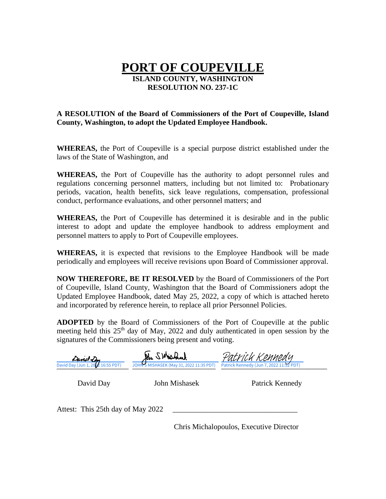## **PORT OF COUPEVILLE ISLAND COUNTY, WASHINGTON RESOLUTION NO. 237-1C**

#### **A RESOLUTION of the Board of Commissioners of the Port of Coupeville, Island County, Washington, to adopt the Updated Employee Handbook.**

**WHEREAS,** the Port of Coupeville is a special purpose district established under the laws of the State of Washington, and

**WHEREAS,** the Port of Coupeville has the authority to adopt personnel rules and regulations concerning personnel matters, including but not limited to: Probationary periods, vacation, health benefits, sick leave regulations, compensation, professional conduct, performance evaluations, and other personnel matters; and

**WHEREAS,** the Port of Coupeville has determined it is desirable and in the public interest to adopt and update the employee handbook to address employment and personnel matters to apply to Port of Coupeville employees.

**WHEREAS,** it is expected that revisions to the Employee Handbook will be made periodically and employees will receive revisions upon Board of Commissioner approval.

**NOW THEREFORE, BE IT RESOLVED** by the Board of Commissioners of the Port of Coupeville, Island County, Washington that the Board of Commissioners adopt the Updated Employee Handbook, dated May 25, 2022, a copy of which is attached hereto and incorporated by reference herein, to replace all prior Personnel Policies.

**ADOPTED** by the Board of Commissioners of the Port of Coupeville at the public meeting held this  $25<sup>th</sup>$  day of May, 2022 and duly authenticated in open session by the signatures of the Commissioners being present and voting.

| David Dy<br>David Day (Jun 1, 2002 16:55 PDT) | An SWEEDAR<br>JOHN'S MISHASEK (May 31, 2022 11:35 PDT) | Patrick Kennedy (Jun 7, 2022 11:52 PDT) |  |
|-----------------------------------------------|--------------------------------------------------------|-----------------------------------------|--|
| David Day                                     | John Mishasek                                          | Patrick Kennedy                         |  |
| Attest: This 25th day of May 2022             |                                                        |                                         |  |

Chris Michalopoulos, Executive Director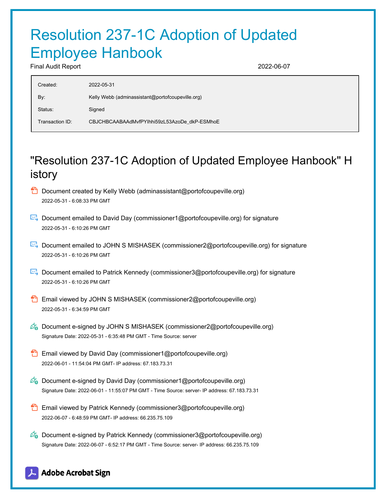# Resolution 237-1C Adoption of Updated Employee Hanbook

Final Audit Report 2022-06-07

| Created:        | 2022-05-31                                       |
|-----------------|--------------------------------------------------|
| By:             | Kelly Webb (adminassistant@portofcoupeville.org) |
| Status:         | Signed                                           |
| Transaction ID: | CBJCHBCAABAAdMvfPYlhhi59zL53AzoDe dkP-ESMhoE     |

# "Resolution 237-1C Adoption of Updated Employee Hanbook" H istory

- $\Box$  Document created by Kelly Webb (adminassistant@portofcoupeville.org) 2022-05-31 - 6:08:33 PM GMT
- Document emailed to David Day (commissioner1@portofcoupeville.org) for signature 2022-05-31 - 6:10:26 PM GMT
- Document emailed to JOHN S MISHASEK (commissioner2@portofcoupeville.org) for signature 2022-05-31 - 6:10:26 PM GMT
- Document emailed to Patrick Kennedy (commissioner3@portofcoupeville.org) for signature 2022-05-31 - 6:10:26 PM GMT
- Email viewed by JOHN S MISHASEK (commissioner2@portofcoupeville.org) 2022-05-31 - 6:34:59 PM GMT
- $\mathscr{O}_\bullet$  Document e-signed by JOHN S MISHASEK (commissioner2@portofcoupeville.org) Signature Date: 2022-05-31 - 6:35:48 PM GMT - Time Source: server
- **Email viewed by David Day (commissioner1@portofcoupeville.org)** 2022-06-01 - 11:54:04 PM GMT- IP address: 67.183.73.31
- $\mathscr{O}_0$  Document e-signed by David Day (commissioner1@portofcoupeville.org) Signature Date: 2022-06-01 - 11:55:07 PM GMT - Time Source: server- IP address: 67.183.73.31
- Email viewed by Patrick Kennedy (commissioner3@portofcoupeville.org) 2022-06-07 - 6:48:59 PM GMT- IP address: 66.235.75.109
- $\mathscr{D}_{\mathbf{G}}$  Document e-signed by Patrick Kennedy (commissioner3@portofcoupeville.org) Signature Date: 2022-06-07 - 6:52:17 PM GMT - Time Source: server- IP address: 66.235.75.109

### **Adobe Acrobat Sign**